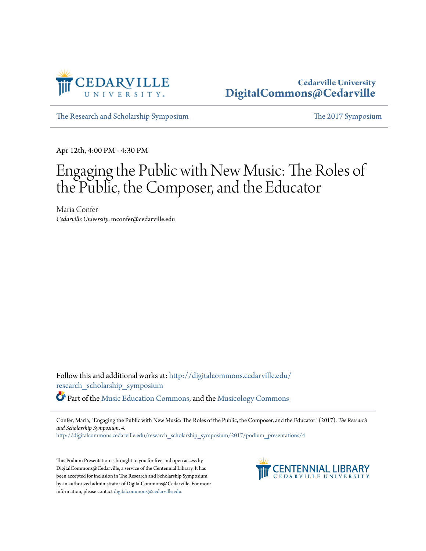

# **Cedarville University [DigitalCommons@Cedarville](http://digitalcommons.cedarville.edu?utm_source=digitalcommons.cedarville.edu%2Fresearch_scholarship_symposium%2F2017%2Fpodium_presentations%2F4&utm_medium=PDF&utm_campaign=PDFCoverPages)**

[The Research and Scholarship Symposium](http://digitalcommons.cedarville.edu/research_scholarship_symposium?utm_source=digitalcommons.cedarville.edu%2Fresearch_scholarship_symposium%2F2017%2Fpodium_presentations%2F4&utm_medium=PDF&utm_campaign=PDFCoverPages) [The 2017 Symposium](http://digitalcommons.cedarville.edu/research_scholarship_symposium/2017?utm_source=digitalcommons.cedarville.edu%2Fresearch_scholarship_symposium%2F2017%2Fpodium_presentations%2F4&utm_medium=PDF&utm_campaign=PDFCoverPages)

Apr 12th, 4:00 PM - 4:30 PM

# Engaging the Public with New Music: The Roles of the Public, the Composer, and the Educator

Maria Confer *Cedarville University*, mconfer@cedarville.edu

Follow this and additional works at: [http://digitalcommons.cedarville.edu/](http://digitalcommons.cedarville.edu/research_scholarship_symposium?utm_source=digitalcommons.cedarville.edu%2Fresearch_scholarship_symposium%2F2017%2Fpodium_presentations%2F4&utm_medium=PDF&utm_campaign=PDFCoverPages) [research\\_scholarship\\_symposium](http://digitalcommons.cedarville.edu/research_scholarship_symposium?utm_source=digitalcommons.cedarville.edu%2Fresearch_scholarship_symposium%2F2017%2Fpodium_presentations%2F4&utm_medium=PDF&utm_campaign=PDFCoverPages)

Part of the [Music Education Commons](http://network.bepress.com/hgg/discipline/1246?utm_source=digitalcommons.cedarville.edu%2Fresearch_scholarship_symposium%2F2017%2Fpodium_presentations%2F4&utm_medium=PDF&utm_campaign=PDFCoverPages), and the [Musicology Commons](http://network.bepress.com/hgg/discipline/521?utm_source=digitalcommons.cedarville.edu%2Fresearch_scholarship_symposium%2F2017%2Fpodium_presentations%2F4&utm_medium=PDF&utm_campaign=PDFCoverPages)

Confer, Maria, "Engaging the Public with New Music: The Roles of the Public, the Composer, and the Educator" (2017). *The Research and Scholarship Symposium*. 4.

[http://digitalcommons.cedarville.edu/research\\_scholarship\\_symposium/2017/podium\\_presentations/4](http://digitalcommons.cedarville.edu/research_scholarship_symposium/2017/podium_presentations/4?utm_source=digitalcommons.cedarville.edu%2Fresearch_scholarship_symposium%2F2017%2Fpodium_presentations%2F4&utm_medium=PDF&utm_campaign=PDFCoverPages)

This Podium Presentation is brought to you for free and open access by DigitalCommons@Cedarville, a service of the Centennial Library. It has been accepted for inclusion in The Research and Scholarship Symposium by an authorized administrator of DigitalCommons@Cedarville. For more information, please contact [digitalcommons@cedarville.edu.](mailto:digitalcommons@cedarville.edu)

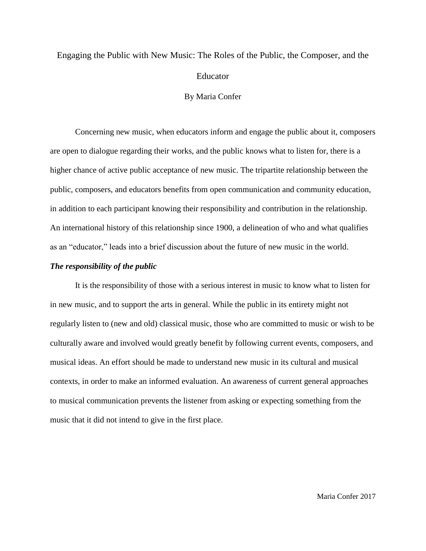# Engaging the Public with New Music: The Roles of the Public, the Composer, and the Educator

#### By Maria Confer

Concerning new music, when educators inform and engage the public about it, composers are open to dialogue regarding their works, and the public knows what to listen for, there is a higher chance of active public acceptance of new music. The tripartite relationship between the public, composers, and educators benefits from open communication and community education, in addition to each participant knowing their responsibility and contribution in the relationship. An international history of this relationship since 1900, a delineation of who and what qualifies as an "educator," leads into a brief discussion about the future of new music in the world.

#### *The responsibility of the public*

It is the responsibility of those with a serious interest in music to know what to listen for in new music, and to support the arts in general. While the public in its entirety might not regularly listen to (new and old) classical music, those who are committed to music or wish to be culturally aware and involved would greatly benefit by following current events, composers, and musical ideas. An effort should be made to understand new music in its cultural and musical contexts, in order to make an informed evaluation. An awareness of current general approaches to musical communication prevents the listener from asking or expecting something from the music that it did not intend to give in the first place.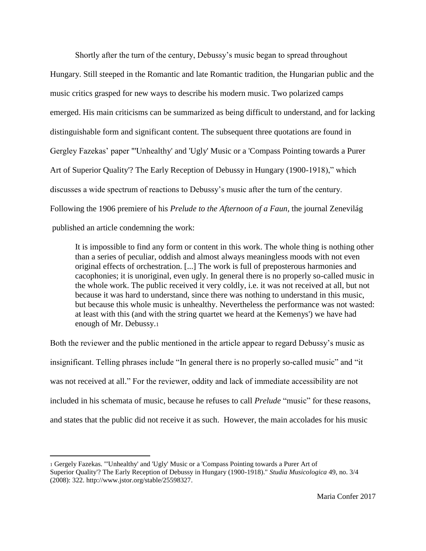Shortly after the turn of the century, Debussy's music began to spread throughout Hungary. Still steeped in the Romantic and late Romantic tradition, the Hungarian public and the music critics grasped for new ways to describe his modern music. Two polarized camps emerged. His main criticisms can be summarized as being difficult to understand, and for lacking distinguishable form and significant content. The subsequent three quotations are found in Gergley Fazekas' paper "'Unhealthy' and 'Ugly' Music or a 'Compass Pointing towards a Purer Art of Superior Quality'? The Early Reception of Debussy in Hungary (1900-1918)," which discusses a wide spectrum of reactions to Debussy's music after the turn of the century. Following the 1906 premiere of his *Prelude to the Afternoon of a Faun,* the journal Zenevilág published an article condemning the work:

It is impossible to find any form or content in this work. The whole thing is nothing other than a series of peculiar, oddish and almost always meaningless moods with not even original effects of orchestration. [...] The work is full of preposterous harmonies and cacophonies; it is unoriginal, even ugly. In general there is no properly so-called music in the whole work. The public received it very coldly, i.e. it was not received at all, but not because it was hard to understand, since there was nothing to understand in this music, but because this whole music is unhealthy. Nevertheless the performance was not wasted: at least with this (and with the string quartet we heard at the Kemenys') we have had enough of Mr. Debussy.<sup>1</sup>

Both the reviewer and the public mentioned in the article appear to regard Debussy's music as insignificant. Telling phrases include "In general there is no properly so-called music" and "it was not received at all." For the reviewer, oddity and lack of immediate accessibility are not included in his schemata of music, because he refuses to call *Prelude* "music" for these reasons, and states that the public did not receive it as such. However, the main accolades for his music

<sup>1</sup> Gergely Fazekas. "'Unhealthy' and 'Ugly' Music or a 'Compass Pointing towards a Purer Art of Superior Quality'? The Early Reception of Debussy in Hungary (1900-1918)." *Studia Musicologica* 49, no. 3/4 (2008): 322. [http://www.jstor.org/stable/25598327.](http://www.jstor.org/stable/25598327)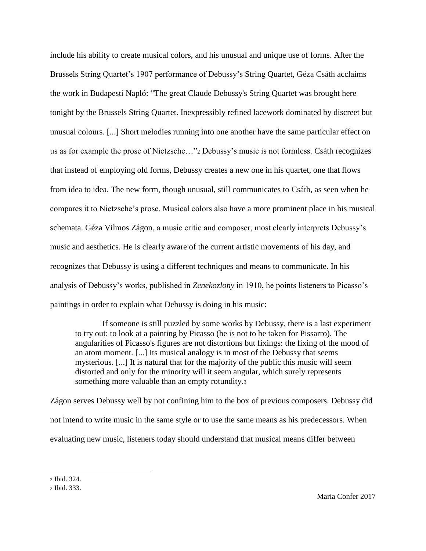include his ability to create musical colors, and his unusual and unique use of forms. After the Brussels String Quartet's 1907 performance of Debussy's String Quartet, Géza Csáth acclaims the work in Budapesti Napló: "The great Claude Debussy's String Quartet was brought here tonight by the Brussels String Quartet. Inexpressibly refined lacework dominated by discreet but unusual colours. [...] Short melodies running into one another have the same particular effect on us as for example the prose of Nietzsche…"<sup>2</sup> Debussy's music is not formless. Csáth recognizes that instead of employing old forms, Debussy creates a new one in his quartet, one that flows from idea to idea. The new form, though unusual, still communicates to Csáth, as seen when he compares it to Nietzsche's prose. Musical colors also have a more prominent place in his musical schemata. Géza Vilmos Zágon, a music critic and composer, most clearly interprets Debussy's music and aesthetics. He is clearly aware of the current artistic movements of his day, and recognizes that Debussy is using a different techniques and means to communicate. In his analysis of Debussy's works, published in *Zenekozlony* in 1910, he points listeners to Picasso's paintings in order to explain what Debussy is doing in his music:

If someone is still puzzled by some works by Debussy, there is a last experiment to try out: to look at a painting by Picasso (he is not to be taken for Pissarro). The angularities of Picasso's figures are not distortions but fixings: the fixing of the mood of an atom moment. [...] Its musical analogy is in most of the Debussy that seems mysterious. [...] It is natural that for the majority of the public this music will seem distorted and only for the minority will it seem angular, which surely represents something more valuable than an empty rotundity.<sup>3</sup>

Zágon serves Debussy well by not confining him to the box of previous composers. Debussy did not intend to write music in the same style or to use the same means as his predecessors. When evaluating new music, listeners today should understand that musical means differ between

<sup>2</sup> Ibid. 324.

<sup>3</sup> Ibid. 333.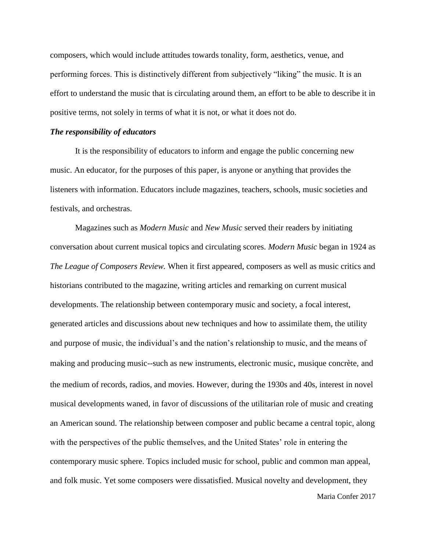composers, which would include attitudes towards tonality, form, aesthetics, venue, and performing forces. This is distinctively different from subjectively "liking" the music. It is an effort to understand the music that is circulating around them, an effort to be able to describe it in positive terms, not solely in terms of what it is not, or what it does not do.

#### *The responsibility of educators*

It is the responsibility of educators to inform and engage the public concerning new music. An educator, for the purposes of this paper, is anyone or anything that provides the listeners with information. Educators include magazines, teachers, schools, music societies and festivals, and orchestras.

Magazines such as *Modern Music* and *New Music* served their readers by initiating conversation about current musical topics and circulating scores. *Modern Music* began in 1924 as *The League of Composers Review.* When it first appeared, composers as well as music critics and historians contributed to the magazine, writing articles and remarking on current musical developments. The relationship between contemporary music and society, a focal interest, generated articles and discussions about new techniques and how to assimilate them, the utility and purpose of music, the individual's and the nation's relationship to music, and the means of making and producing music--such as new instruments, electronic music, musique concrète, and the medium of records, radios, and movies. However, during the 1930s and 40s, interest in novel musical developments waned, in favor of discussions of the utilitarian role of music and creating an American sound. The relationship between composer and public became a central topic, along with the perspectives of the public themselves, and the United States' role in entering the contemporary music sphere. Topics included music for school, public and common man appeal, and folk music. Yet some composers were dissatisfied. Musical novelty and development, they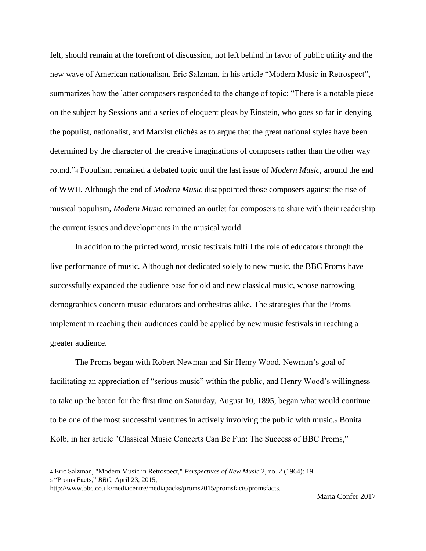felt, should remain at the forefront of discussion, not left behind in favor of public utility and the new wave of American nationalism. Eric Salzman, in his article "Modern Music in Retrospect", summarizes how the latter composers responded to the change of topic: "There is a notable piece on the subject by Sessions and a series of eloquent pleas by Einstein, who goes so far in denying the populist, nationalist, and Marxist clichés as to argue that the great national styles have been determined by the character of the creative imaginations of composers rather than the other way round."<sup>4</sup> Populism remained a debated topic until the last issue of *Modern Music,* around the end of WWII. Although the end of *Modern Music* disappointed those composers against the rise of musical populism, *Modern Music* remained an outlet for composers to share with their readership the current issues and developments in the musical world.

In addition to the printed word, music festivals fulfill the role of educators through the live performance of music. Although not dedicated solely to new music, the BBC Proms have successfully expanded the audience base for old and new classical music, whose narrowing demographics concern music educators and orchestras alike. The strategies that the Proms implement in reaching their audiences could be applied by new music festivals in reaching a greater audience.

The Proms began with Robert Newman and Sir Henry Wood. Newman's goal of facilitating an appreciation of "serious music" within the public, and Henry Wood's willingness to take up the baton for the first time on Saturday, August 10, 1895, began what would continue to be one of the most successful ventures in actively involving the public with music.<sup>5</sup> Bonita Kolb, in her article "Classical Music Concerts Can Be Fun: The Success of BBC Proms,"

<sup>4</sup> Eric Salzman, "Modern Music in Retrospect," *Perspectives of New Music* 2, no. 2 (1964): 19.

<sup>5</sup> "Proms Facts," *BBC,* April 23, 2015,

http://www.bbc.co.uk/mediacentre/mediapacks/proms2015/promsfacts/promsfacts.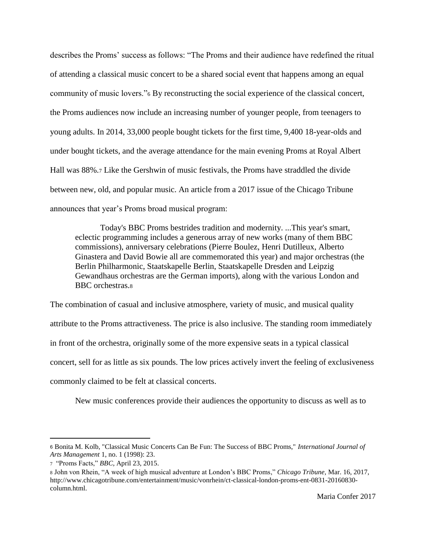describes the Proms' success as follows: "The Proms and their audience have redefined the ritual of attending a classical music concert to be a shared social event that happens among an equal community of music lovers."<sup>6</sup> By reconstructing the social experience of the classical concert, the Proms audiences now include an increasing number of younger people, from teenagers to young adults. In 2014, 33,000 people bought tickets for the first time, 9,400 18-year-olds and under bought tickets, and the average attendance for the main evening Proms at Royal Albert Hall was 88%.<sup>7</sup> Like the Gershwin of music festivals, the Proms have straddled the divide between new, old, and popular music. An article from a 2017 issue of the Chicago Tribune announces that year's Proms broad musical program:

Today's BBC Proms bestrides tradition and modernity. ...This year's smart, eclectic programming includes a generous array of new works (many of them BBC commissions), anniversary celebrations (Pierre Boulez, Henri Dutilleux, Alberto Ginastera and David Bowie all are commemorated this year) and major orchestras (the Berlin Philharmonic, Staatskapelle Berlin, Staatskapelle Dresden and Leipzig Gewandhaus orchestras are the German imports), along with the various London and BBC orchestras.<sup>8</sup>

The combination of casual and inclusive atmosphere, variety of music, and musical quality attribute to the Proms attractiveness. The price is also inclusive. The standing room immediately in front of the orchestra, originally some of the more expensive seats in a typical classical concert, sell for as little as six pounds. The low prices actively invert the feeling of exclusiveness commonly claimed to be felt at classical concerts.

New music conferences provide their audiences the opportunity to discuss as well as to

 $\overline{a}$ 

<sup>6</sup> Bonita M. Kolb, "Classical Music Concerts Can Be Fun: The Success of BBC Proms," *International Journal of Arts Management* 1, no. 1 (1998): 23.

<sup>7</sup> "Proms Facts," *BBC,* April 23, 2015.

<sup>8</sup> John von Rhein, "A week of high musical adventure at London's BBC Proms," *Chicago Tribune,* Mar. 16, 2017, http://www.chicagotribune.com/entertainment/music/vonrhein/ct-classical-london-proms-ent-0831-20160830 column.html.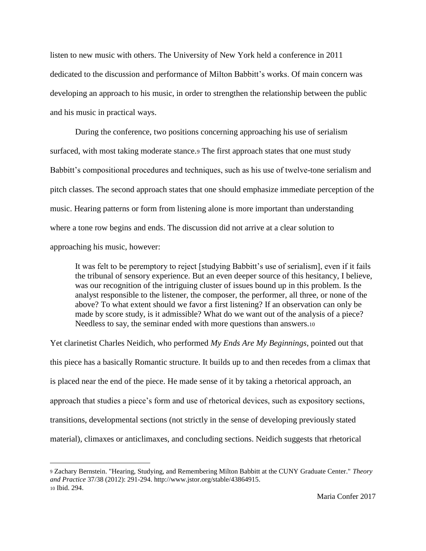listen to new music with others. The University of New York held a conference in 2011 dedicated to the discussion and performance of Milton Babbitt's works. Of main concern was developing an approach to his music, in order to strengthen the relationship between the public and his music in practical ways.

During the conference, two positions concerning approaching his use of serialism surfaced, with most taking moderate stance.<sup>9</sup> The first approach states that one must study Babbitt's compositional procedures and techniques, such as his use of twelve-tone serialism and pitch classes. The second approach states that one should emphasize immediate perception of the music. Hearing patterns or form from listening alone is more important than understanding where a tone row begins and ends. The discussion did not arrive at a clear solution to approaching his music, however:

It was felt to be peremptory to reject [studying Babbitt's use of serialism], even if it fails the tribunal of sensory experience. But an even deeper source of this hesitancy, I believe, was our recognition of the intriguing cluster of issues bound up in this problem. Is the analyst responsible to the listener, the composer, the performer, all three, or none of the above? To what extent should we favor a first listening? If an observation can only be made by score study, is it admissible? What do we want out of the analysis of a piece? Needless to say, the seminar ended with more questions than answers.<sup>10</sup>

Yet clarinetist Charles Neidich, who performed *My Ends Are My Beginnings*, pointed out that this piece has a basically Romantic structure. It builds up to and then recedes from a climax that is placed near the end of the piece. He made sense of it by taking a rhetorical approach, an approach that studies a piece's form and use of rhetorical devices, such as expository sections, transitions, developmental sections (not strictly in the sense of developing previously stated material), climaxes or anticlimaxes, and concluding sections. Neidich suggests that rhetorical

<sup>9</sup> Zachary Bernstein. "Hearing, Studying, and Remembering Milton Babbitt at the CUNY Graduate Center." *Theory and Practice* 37/38 (2012): 291-294. [http://www.jstor.org/stable/43864915.](http://www.jstor.org/stable/43864915) <sup>10</sup> Ibid. 294.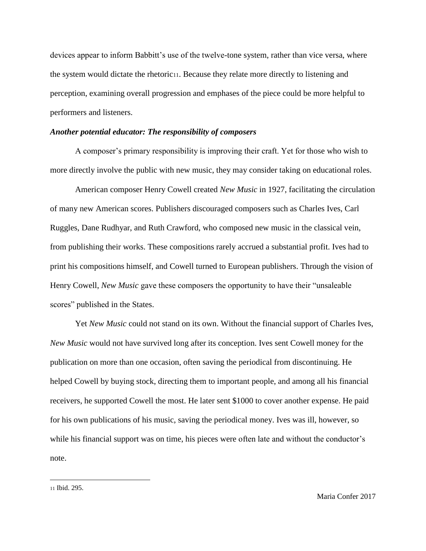devices appear to inform Babbitt's use of the twelve-tone system, rather than vice versa, where the system would dictate the rhetoric11. Because they relate more directly to listening and perception, examining overall progression and emphases of the piece could be more helpful to performers and listeners.

#### *Another potential educator: The responsibility of composers*

A composer's primary responsibility is improving their craft. Yet for those who wish to more directly involve the public with new music, they may consider taking on educational roles.

American composer Henry Cowell created *New Music* in 1927, facilitating the circulation of many new American scores. Publishers discouraged composers such as Charles Ives, Carl Ruggles, Dane Rudhyar, and Ruth Crawford, who composed new music in the classical vein, from publishing their works. These compositions rarely accrued a substantial profit. Ives had to print his compositions himself, and Cowell turned to European publishers. Through the vision of Henry Cowell, *New Music* gave these composers the opportunity to have their "unsaleable scores" published in the States.

Yet *New Music* could not stand on its own. Without the financial support of Charles Ives, *New Music* would not have survived long after its conception. Ives sent Cowell money for the publication on more than one occasion, often saving the periodical from discontinuing. He helped Cowell by buying stock, directing them to important people, and among all his financial receivers, he supported Cowell the most. He later sent \$1000 to cover another expense. He paid for his own publications of his music, saving the periodical money. Ives was ill, however, so while his financial support was on time, his pieces were often late and without the conductor's note.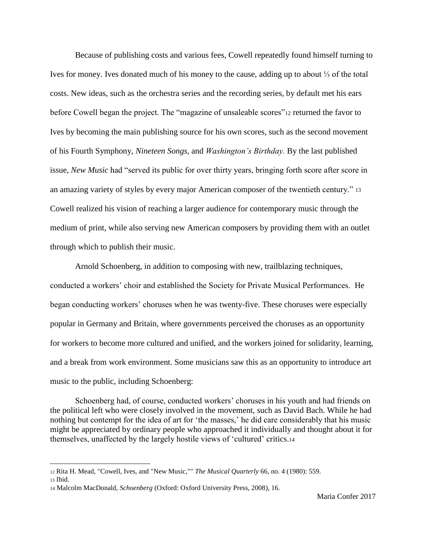Because of publishing costs and various fees, Cowell repeatedly found himself turning to Ives for money. Ives donated much of his money to the cause, adding up to about ⅓ of the total costs. New ideas, such as the orchestra series and the recording series, by default met his ears before Cowell began the project. The "magazine of unsaleable scores"<sup>12</sup> returned the favor to Ives by becoming the main publishing source for his own scores, such as the second movement of his Fourth Symphony, *Nineteen Songs,* and *Washington's Birthday.* By the last published issue, *New Music* had "served its public for over thirty years, bringing forth score after score in an amazing variety of styles by every major American composer of the twentieth century." <sup>13</sup> Cowell realized his vision of reaching a larger audience for contemporary music through the medium of print, while also serving new American composers by providing them with an outlet through which to publish their music.

Arnold Schoenberg, in addition to composing with new, trailblazing techniques, conducted a workers' choir and established the Society for Private Musical Performances. He began conducting workers' choruses when he was twenty-five. These choruses were especially popular in Germany and Britain, where governments perceived the choruses as an opportunity for workers to become more cultured and unified, and the workers joined for solidarity, learning, and a break from work environment. Some musicians saw this as an opportunity to introduce art music to the public, including Schoenberg:

Schoenberg had, of course, conducted workers' choruses in his youth and had friends on the political left who were closely involved in the movement, such as David Bach. While he had nothing but contempt for the idea of art for 'the masses,' he did care considerably that his music might be appreciated by ordinary people who approached it individually and thought about it for themselves, unaffected by the largely hostile views of 'cultured' critics.<sup>14</sup>

<sup>12</sup> Rita H. Mead, "Cowell, Ives, and "New Music,"" *The Musical Quarterly* 66, no. 4 (1980): 559. <sup>13</sup> Ibid.

<sup>14</sup> Malcolm MacDonald, *Schoenberg* (Oxford: Oxford University Press, 2008), 16.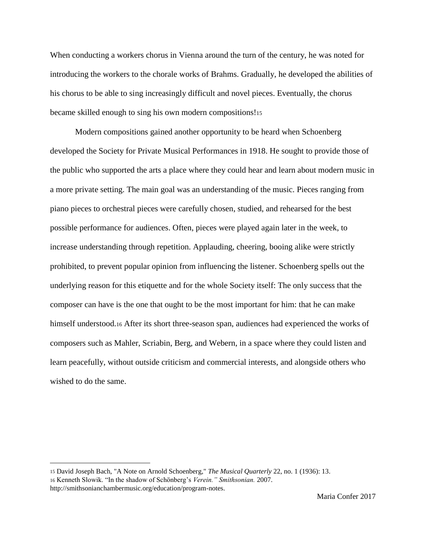When conducting a workers chorus in Vienna around the turn of the century, he was noted for introducing the workers to the chorale works of Brahms. Gradually, he developed the abilities of his chorus to be able to sing increasingly difficult and novel pieces. Eventually, the chorus became skilled enough to sing his own modern compositions!<sup>15</sup>

Modern compositions gained another opportunity to be heard when Schoenberg developed the Society for Private Musical Performances in 1918. He sought to provide those of the public who supported the arts a place where they could hear and learn about modern music in a more private setting. The main goal was an understanding of the music. Pieces ranging from piano pieces to orchestral pieces were carefully chosen, studied, and rehearsed for the best possible performance for audiences. Often, pieces were played again later in the week, to increase understanding through repetition. Applauding, cheering, booing alike were strictly prohibited, to prevent popular opinion from influencing the listener. Schoenberg spells out the underlying reason for this etiquette and for the whole Society itself: The only success that the composer can have is the one that ought to be the most important for him: that he can make himself understood.<sup>16</sup> After its short three-season span, audiences had experienced the works of composers such as Mahler, Scriabin, Berg, and Webern, in a space where they could listen and learn peacefully, without outside criticism and commercial interests, and alongside others who wished to do the same.

<sup>15</sup> David Joseph Bach, "A Note on Arnold Schoenberg," *The Musical Quarterly* 22, no. 1 (1936): 13. <sup>16</sup> Kenneth Slowik. "In the shadow of Schönberg's *Verein." Smithsonian.* 2007.

http://smithsonianchambermusic.org/education/program-notes.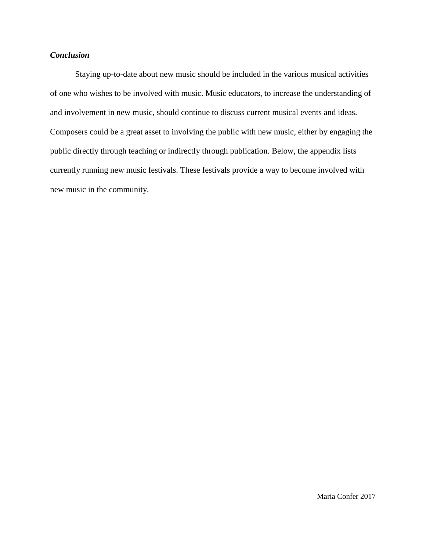## *Conclusion*

Staying up-to-date about new music should be included in the various musical activities of one who wishes to be involved with music. Music educators, to increase the understanding of and involvement in new music, should continue to discuss current musical events and ideas. Composers could be a great asset to involving the public with new music, either by engaging the public directly through teaching or indirectly through publication. Below, the appendix lists currently running new music festivals. These festivals provide a way to become involved with new music in the community.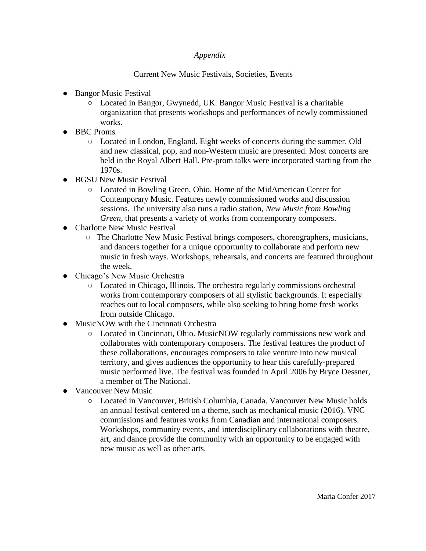# *Appendix*

## Current New Music Festivals, Societies, Events

- Bangor Music Festival
	- Located in Bangor, Gwynedd, UK. Bangor Music Festival is a charitable organization that presents workshops and performances of newly commissioned works.
- BBC Proms
	- Located in London, England. Eight weeks of concerts during the summer. Old and new classical, pop, and non-Western music are presented. Most concerts are held in the Royal Albert Hall. Pre-prom talks were incorporated starting from the 1970s.
- BGSU New Music Festival
	- Located in Bowling Green, Ohio. Home of the MidAmerican Center for Contemporary Music. Features newly commissioned works and discussion sessions. The university also runs a radio station, *New Music from Bowling Green, that presents a variety of works from contemporary composers.*
- Charlotte New Music Festival
	- The Charlotte New Music Festival brings composers, choreographers, musicians, and dancers together for a unique opportunity to collaborate and perform new music in fresh ways. Workshops, rehearsals, and concerts are featured throughout the week.
- Chicago's New Music Orchestra
	- Located in Chicago, Illinois. The orchestra regularly commissions orchestral works from contemporary composers of all stylistic backgrounds. It especially reaches out to local composers, while also seeking to bring home fresh works from outside Chicago.
- MusicNOW with the Cincinnati Orchestra
	- Located in Cincinnati, Ohio. MusicNOW regularly commissions new work and collaborates with contemporary composers. The festival features the product of these collaborations, encourages composers to take venture into new musical territory, and gives audiences the opportunity to hear this carefully-prepared music performed live. The festival was founded in April 2006 by Bryce Dessner, a member of The National.
- Vancouver New Music
	- Located in Vancouver, British Columbia, Canada. Vancouver New Music holds an annual festival centered on a theme, such as mechanical music (2016). VNC commissions and features works from Canadian and international composers. Workshops, community events, and interdisciplinary collaborations with theatre, art, and dance provide the community with an opportunity to be engaged with new music as well as other arts.